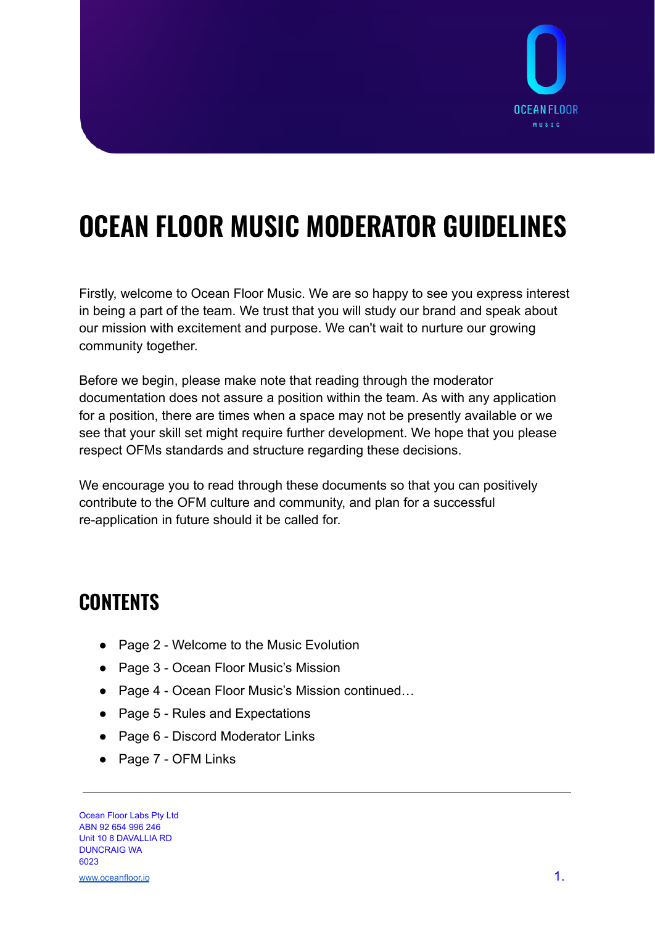

# **OCEAN FLOOR MUSIC MODERATOR GUIDELINES**

Firstly, welcome to Ocean Floor Music. We are so happy to see you express interest in being a part of the team. We trust that you will study our brand and speak about our mission with excitement and purpose. We can't wait to nurture our growing community together.

Before we begin, please make note that reading through the moderator documentation does not assure a position within the team. As with any application for a position, there are times when a space may not be presently available or we see that your skill set might require further development. We hope that you please respect OFMs standards and structure regarding these decisions.

We encourage you to read through these documents so that you can positively contribute to the OFM culture and community, and plan for a successful re-application in future should it be called for.

# **CONTENTS**

- *●* Page 2 Welcome to the Music Evolution
- Page 3 Ocean Floor Music's Mission
- Page 4 Ocean Floor Music's Mission continued...
- Page 5 Rules and Expectations
- Page 6 Discord Moderator Links
- Page 7 OFM Links

Ocean Floor Labs Pty Ltd ABN 92 654 996 246 Unit 10 8 DAVALLIA RD DUNCRAIG WA 6023

[www.oceanfloor.io](http://www.oceanfloor.io) **1.**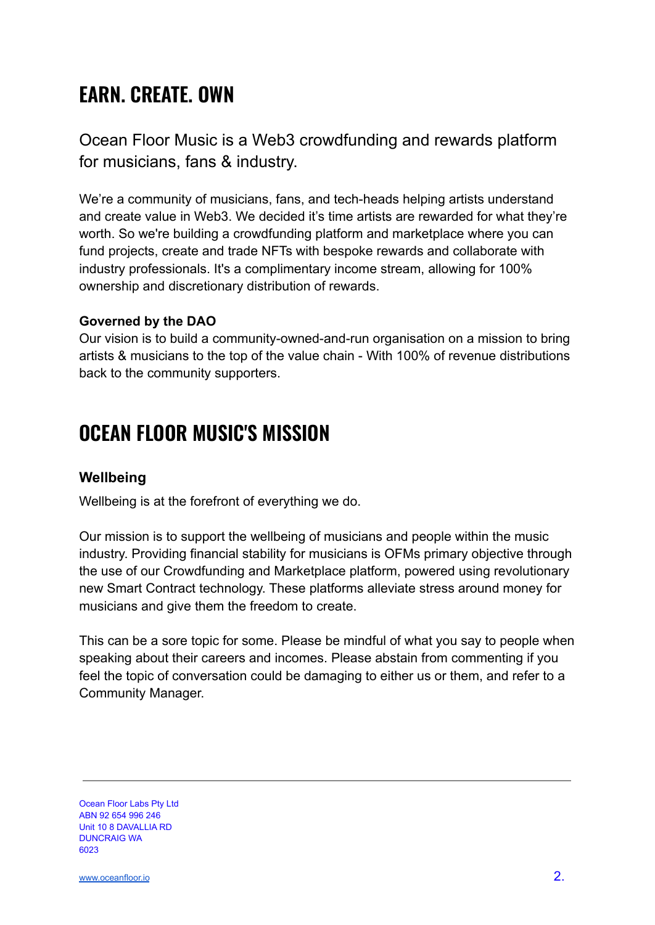# **EARN. CREATE. OWN**

Ocean Floor Music is a Web3 crowdfunding and rewards platform for musicians, fans & industry.

We're a community of musicians, fans, and tech-heads helping artists understand and create value in Web3. We decided it's time artists are rewarded for what they're worth. So we're building a crowdfunding platform and marketplace where you can fund projects, create and trade NFTs with bespoke rewards and collaborate with industry professionals. It's a complimentary income stream, allowing for 100% ownership and discretionary distribution of rewards.

#### **Governed by the DAO**

Our vision is to build a community-owned-and-run organisation on a mission to bring artists & musicians to the top of the value chain - With 100% of revenue distributions back to the community supporters.

### **OCEAN FLOOR MUSIC'S MISSION**

#### **Wellbeing**

Wellbeing is at the forefront of everything we do.

Our mission is to support the wellbeing of musicians and people within the music industry. Providing financial stability for musicians is OFMs primary objective through the use of our Crowdfunding and Marketplace platform, powered using revolutionary new Smart Contract technology. These platforms alleviate stress around money for musicians and give them the freedom to create.

This can be a sore topic for some. Please be mindful of what you say to people when speaking about their careers and incomes. Please abstain from commenting if you feel the topic of conversation could be damaging to either us or them, and refer to a Community Manager.

Ocean Floor Labs Pty Ltd ABN 92 654 996 246 Unit 10 8 DAVALLIA RD DUNCRAIG WA 6023

[www.oceanfloor.io](http://www.oceanfloor.io) 2.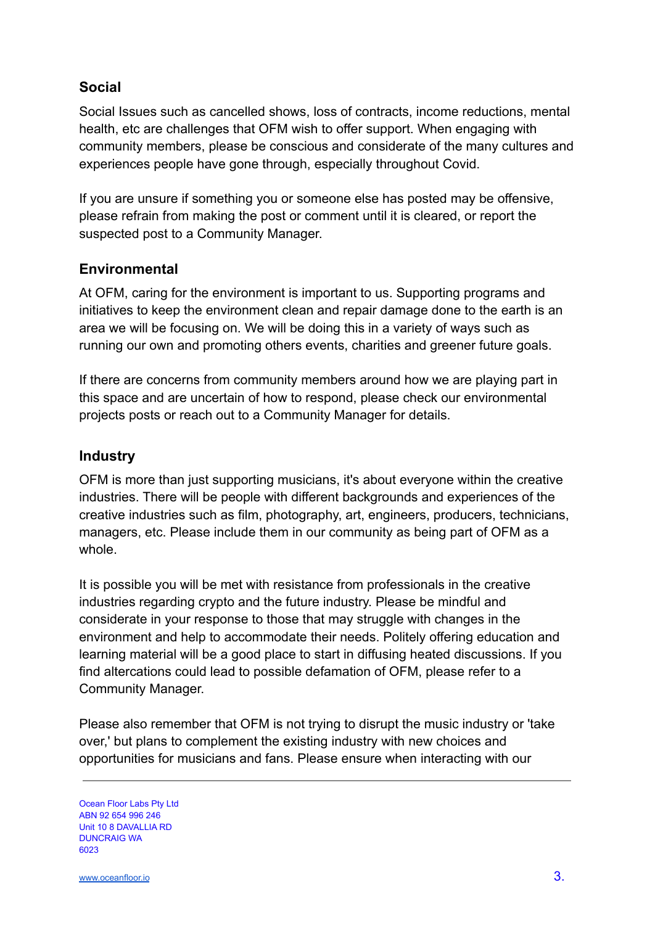#### **Social**

Social Issues such as cancelled shows, loss of contracts, income reductions, mental health, etc are challenges that OFM wish to offer support. When engaging with community members, please be conscious and considerate of the many cultures and experiences people have gone through, especially throughout Covid.

If you are unsure if something you or someone else has posted may be offensive, please refrain from making the post or comment until it is cleared, or report the suspected post to a Community Manager.

#### **Environmental**

At OFM, caring for the environment is important to us. Supporting programs and initiatives to keep the environment clean and repair damage done to the earth is an area we will be focusing on. We will be doing this in a variety of ways such as running our own and promoting others events, charities and greener future goals.

If there are concerns from community members around how we are playing part in this space and are uncertain of how to respond, please check our environmental projects posts or reach out to a Community Manager for details.

#### **Industry**

OFM is more than just supporting musicians, it's about everyone within the creative industries. There will be people with different backgrounds and experiences of the creative industries such as film, photography, art, engineers, producers, technicians, managers, etc. Please include them in our community as being part of OFM as a whole.

It is possible you will be met with resistance from professionals in the creative industries regarding crypto and the future industry. Please be mindful and considerate in your response to those that may struggle with changes in the environment and help to accommodate their needs. Politely offering education and learning material will be a good place to start in diffusing heated discussions. If you find altercations could lead to possible defamation of OFM, please refer to a Community Manager.

Please also remember that OFM is not trying to disrupt the music industry or 'take over,' but plans to complement the existing industry with new choices and opportunities for musicians and fans. Please ensure when interacting with our

Ocean Floor Labs Pty Ltd ABN 92 654 996 246 Unit 10 8 DAVALLIA RD DUNCRAIG WA 6023

[www.oceanfloor.io](http://www.oceanfloor.io) 3.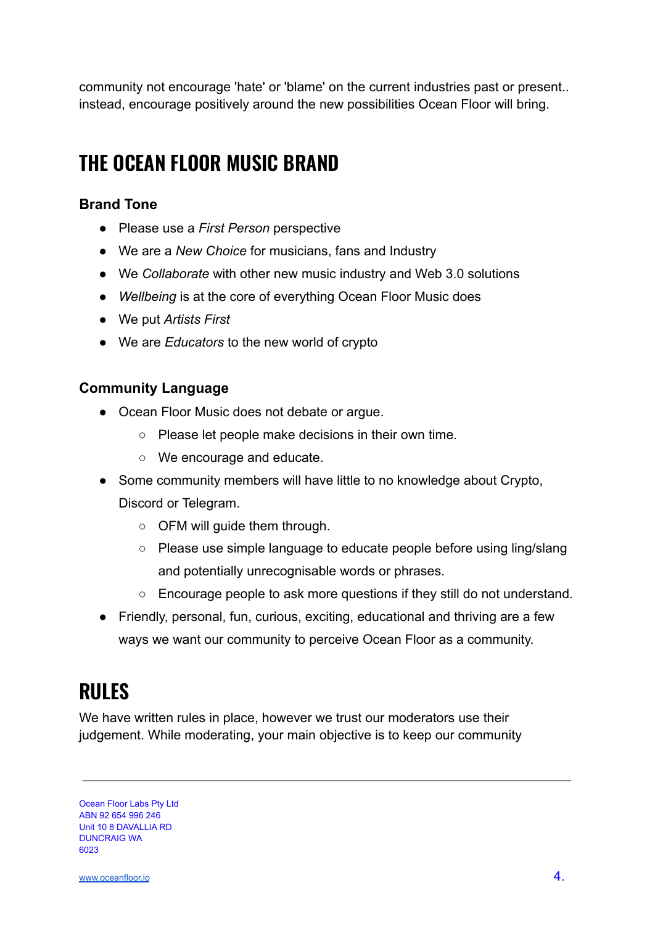community not encourage 'hate' or 'blame' on the current industries past or present.. instead, encourage positively around the new possibilities Ocean Floor will bring.

# **THE OCEAN FLOOR MUSIC BRAND**

#### **Brand Tone**

- Please use a *First Person* perspective
- We are a *New Choice* for musicians, fans and Industry
- We *Collaborate* with other new music industry and Web 3.0 solutions
- *Wellbeing* is at the core of everything Ocean Floor Music does
- We put *Artists First*
- We are *Educators* to the new world of crypto

#### **Community Language**

- Ocean Floor Music does not debate or argue.
	- Please let people make decisions in their own time.
	- We encourage and educate.
- Some community members will have little to no knowledge about Crypto, Discord or Telegram.
	- OFM will guide them through.
	- Please use simple language to educate people before using ling/slang and potentially unrecognisable words or phrases.
	- Encourage people to ask more questions if they still do not understand.
- Friendly, personal, fun, curious, exciting, educational and thriving are a few ways we want our community to perceive Ocean Floor as a community.

# **RULES**

We have written rules in place, however we trust our moderators use their judgement. While moderating, your main objective is to keep our community

Ocean Floor Labs Pty Ltd ABN 92 654 996 246 Unit 10 8 DAVALLIA RD DUNCRAIG WA 6023

[www.oceanfloor.io](http://www.oceanfloor.io) 4.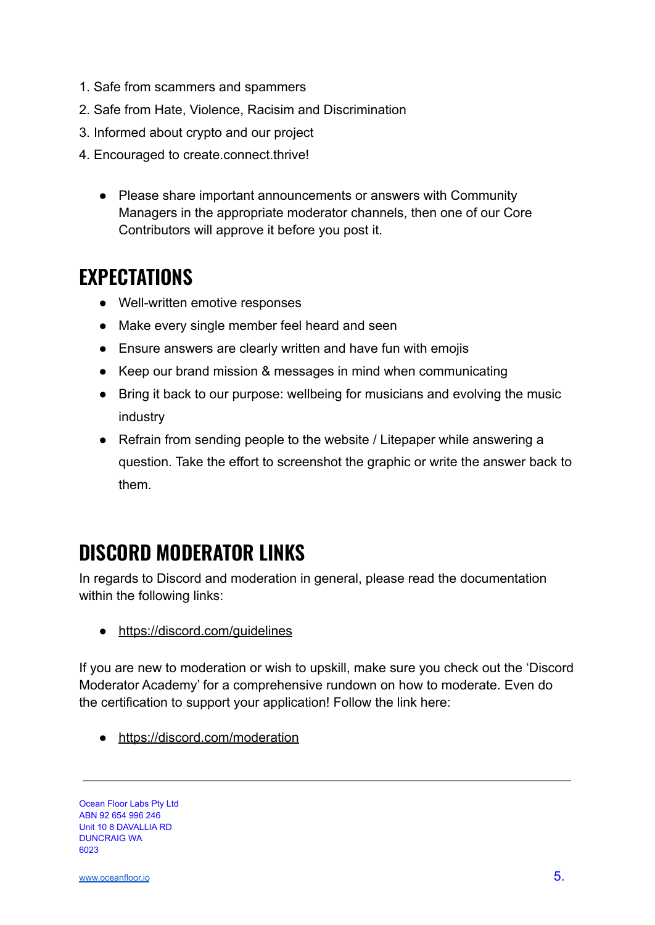- 1. Safe from scammers and spammers
- 2. Safe from Hate, Violence, Racisim and Discrimination
- 3. Informed about crypto and our project
- 4. Encouraged to create.connect.thrive!
	- Please share important announcements or answers with Community Managers in the appropriate moderator channels, then one of our Core Contributors will approve it before you post it.

### **EXPECTATIONS**

- Well-written emotive responses
- Make every single member feel heard and seen
- Ensure answers are clearly written and have fun with emojis
- Keep our brand mission & messages in mind when communicating
- Bring it back to our purpose: wellbeing for musicians and evolving the music industry
- Refrain from sending people to the website / Litepaper while answering a question. Take the effort to screenshot the graphic or write the answer back to them.

# **DISCORD MODERATOR LINKS**

In regards to Discord and moderation in general, please read the documentation within the following links:

● <https://discord.com/guidelines>

If you are new to moderation or wish to upskill, make sure you check out the 'Discord Moderator Academy' for a comprehensive rundown on how to moderate. Even do the certification to support your application! Follow the link here:

● <https://discord.com/moderation>

Ocean Floor Labs Pty Ltd ABN 92 654 996 246 Unit 10 8 DAVALLIA RD DUNCRAIG WA 6023

[www.oceanfloor.io](http://www.oceanfloor.io) 5.